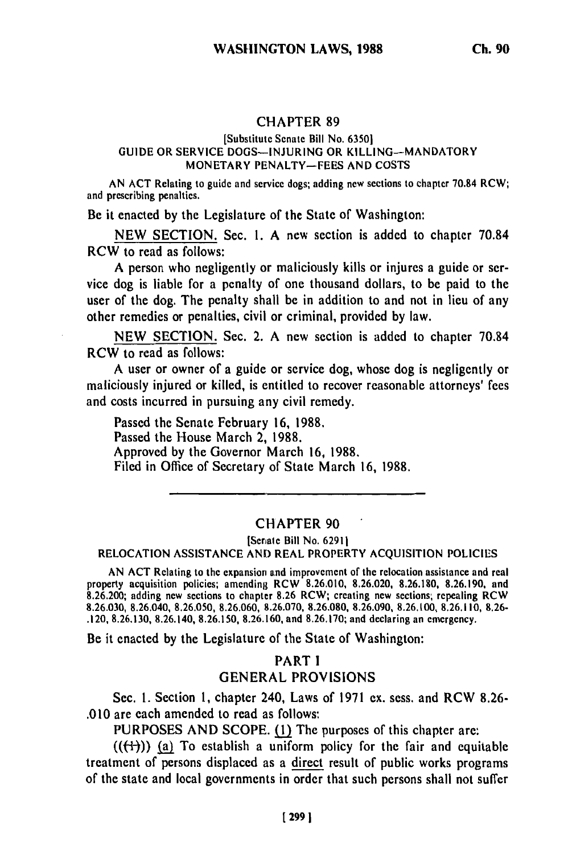#### CHAPTER 89

#### [Substitute Senate Bill No. 6350] GUIDE OR SERVICE DOGS-INJURING OR KILLING-MANDATORY MONETARY PENALTY-FEES AND COSTS

AN ACT Relating to guide and service dogs; adding new sections to chapter 70.84 RCW; and prescribing penalties.

Be it enacted by the Legislature of the State of Washington:

NEW SECTION. Sec. **1.** A new section is added to chapter 70.84 RCW to read as follows:

A person who negligently or maliciously kills or injures a guide or service dog is liable for a penalty of one thousand dollars, to be paid to the user of the dog. The penalty shall be in addition to and not in lieu of any other remedies or penalties, civil or criminal, provided by law.

NEW SECTION. Sec. 2. A new section is added to chapter 70.84 RCW to read as follows:

A user or owner of a guide or service dog, whose dog is negligently or maliciously injured or killed, is entitled to recover reasonable attorneys' fees and costs incurred in pursuing any civil remedy.

Passed the Senate February 16, 1988. Passed the House March 2, 1988. Approved by the Governor March 16, 1988. Filed in Office of Secretary of State March 16, 1988.

#### CHAPTER 90

[Senale Bill No. **62911** RELOCATION ASSISTANCE **AND** REAL PROPERTY ACQUISITION POLICIES

AN ACT Relating to the expansion and improvement of the relocation assistance and real AIN ACT RETAINS TO THE EXPANSION FOR THE PROPERTY OF THE FEIGLATION ASSISTANCE AND TEAM property acquisition policies; amending RCW 8.26.010, 8.26.020, 8.26.180, 8.26.190, and 8.26.190, and 8.26.190 8.26.030, 8.26.040, 8.26.050, 8.26.060, 8.26.070, 8.26.080, 8.26.090, 8.26.100, 8.26.110, 8.26- .120, 8.26.130, 8.26.140, 8.26.150, 8.26.160, and 8.26.170; and declaring an emergency.

Be it enacted by the Legislature of the State of Washington:

# PART I GENERAL PROVISIONS

Sec. **1.** Section 1, chapter 240, Laws of 1971 ex. sess. and RCW 8.26- .010 are each amended to read as follows:

PURPOSES AND SCOPE. (1) The purposes of this chapter are:

 $((\{+)})$  (a) To establish a uniform policy for the fair and equitable treatment of persons displaced as a direct result of public works programs of the state and local governments in order that such persons shall not suffer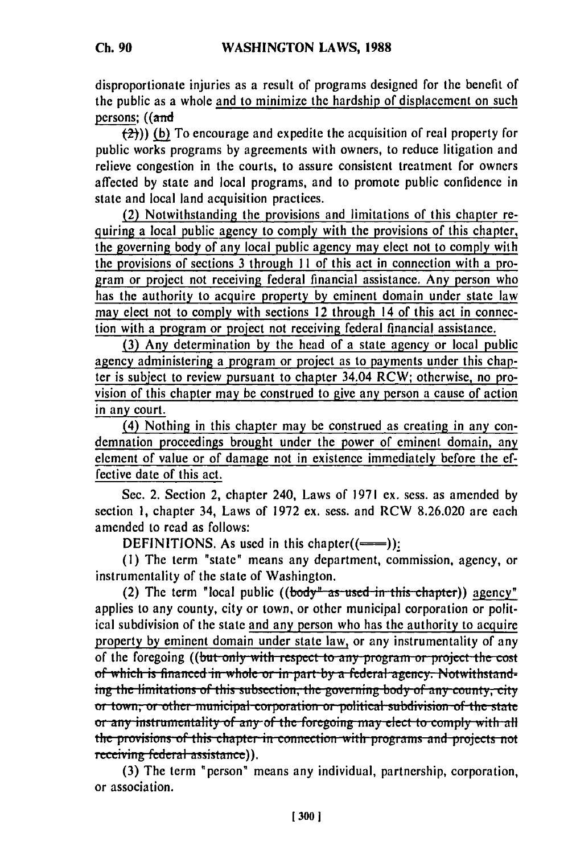disproportionate injuries as a result of programs designed for the benefit of the public as a whole and to minimize the hardship of displacement on such persons; ((and

2))) **(b)** To encourage and expedite the acquisition of real property for public works programs **by** agreements with owners, to reduce litigation and relieve congestion in the courts, to assure consistent treatment for owners affected **by** state and local programs, and to promote public confidence in state and local land acquisition practices.

(2) Notwithstanding the provisions and limitations of this chapter requiring a local public agency to comply with the provisions of this chapter, the governing body of any local public agency may elect not to comply with the provisions of sections **3** through **I I** of this act in connection with a program or project not receiving federal financial assistance. Any person who has the authority to acquire property **by** eminent domain under state law may elect not to comply with sections 12 through 14 of this act in connection with a program or project not receiving federal financial assistance.

**(3)** Any determination **by** the head of a state agency or local public agency administering a program or project as to payments under this chapter is subject to review pursuant to chapter 34.04 RCW; otherwise, no provision of this chapter may be construed to give any person a cause of action in any court.

(4) Nothing in this chapter may be construed as creating in any condemnation proceedings brought under the power of eminent domain, any element of value or of damage not in existence immediately before the **ef**fective date of this act.

Sec. 2. Section 2, chapter 240, Laws of **1971** ex. sess. as amended **by** section **1,** chapter 34, Laws of **1972** ex. sess. and RCW **8.26.020** are each amended to read as follows:

**DEFINITIONS.** As used in this chapter $((\equiv\equiv))$ :

**(1)** The term "state" means any department, commission, agency, or instrumentality of the state of Washington.

(2) The term "local public ((body<sup>"</sup> as used in this chapter)) agency" applies to any county, city or town, or other municipal corporation or political subdivision of the state and any person who has the authority to acquire property by eminent domain under state law, or any instrumentality of any of the foregoing ((but only with respect to any program or project the cost of which is financed in whole or in part by a federal agency. Notwithstanding the limitations of this subsection, the governing body of any county, city or town, or other municipal corporation or political subdivision of the state **or any instrumentality of any of the foregoing may elect to comply with all** the provisions of this chapter in connection with programs and projects not receiving federal assistance).

**(3)** The term "person" means any individual, partnership, corporation, or association.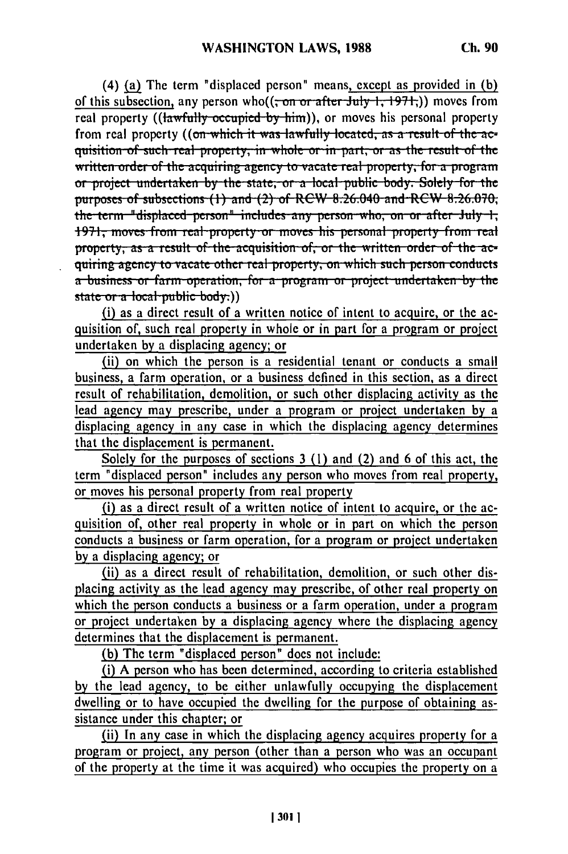(4) **(a)** The term "displaced person" means, except as provided in **(b)** of this subsection, any person who((<del>; on or after July 1, 1971,</del>)) moves from real property ((lawfully occupied by him)), or moves his personal property from real property ((on which it was lawfully located, as a result of the acquisition of such real property, in whole or in part, or as the result of the **written order of the acquiring agency to vacate real property, for a program undertakently the state, or a local public body. Solely for the putnpu-um f subs.ction, (1) and** (2) **of** RCW 8.26.040 **and RW 8.26.070,** the term "displaced person" includes any person who, on or after July 1, 1971, moves from real property or moves his personal property from real<br>apparents as a result of the acquisition of or the written order of the acquisition **a** quiring agency to vacate other real property, on which such person conducts a business or farm operation, for a program or project undertaken by the state or a local public body.))

(i) as a direct result of a written notice of intent to acquire, or the acquisition of, such real property in whole or in part for a program or project undertaken by a displacing agency; or

(ii) on which the person is a residential tenant or conducts a small business, a farm operation, or a business defined in this section, as a direct result of rehabilitation, demolition, or such other displacing activity as the lead agency may prescribe, under a program or project undertaken by a displacing agency in any case in which the displacing agency determines that the displacement is permanent.

Solely for the purposes of sections 3 (1) and (2) and 6 of this act, the term "displaced person" includes any person who moves from real property, or moves his personal property from real property

(i) as a direct result of a written notice of intent to acquire, or the acquisition of, other real property in whole or in part on which the person conducts a business or farm operation, for a program or project undertaken by a displacing agency; or

(ii) as a direct result of rehabilitation, demolition, or such other displacing activity as the lead agency may prescribe, of other real property on which the person conducts a business or a farm operation, under a program or project undertaken by a displacing agency where the displacing agency determines that the displacement is permanent.

**(b)** The term "displaced person" does not include:

(i) A person who has been determined, according to criteria established by the lead agency, to be either unlawfully occupying the displacement dwelling or to have occupied the dwelling for the purpose of obtaining assistance under this chapter; or

(ii) In any case in which the displacing agency acquires property for a program or project, any person (other than a person who was an occupant of the property at the time it was acquired) who occupies the property on a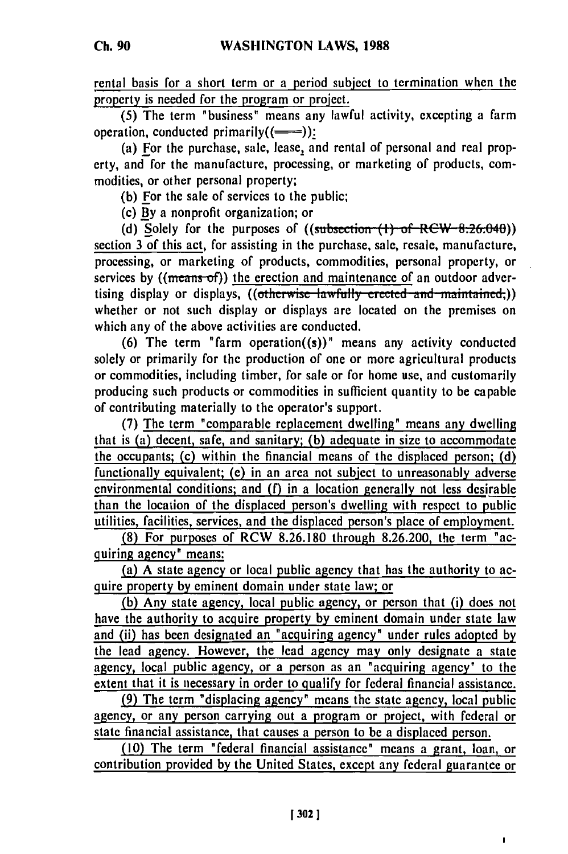rental basis for a short term or a period subject to termination when the property is needed for the program or project.

**(5)** The term "business" means any lawful activity, excepting a farm operation, conducted primarily $((\equiv\equiv))$ :

(a) For the purchase, sale, lease, and rental of personal and real property, and for the manufacture, processing, or marketing of products, commodities, or other personal property;

**(b)** For the sale of services to the public;

(c) By a nonprofit organization; or

**(d)** Solely for the purposes of ((subsection **(I) of** RCW 8.26.040)) section 3 of this act, for assisting in the purchase, sale, resale, manufacture, processing, or marketing of products, commodities, personal property, or services by  $((\text{means of}))$  the erection and maintenance of an outdoor advertising display or displays, ((otherwise lawfully erected and maintained,)) whether or not such display or displays are located on the premises on which any of the above activities are conducted.

**(6)** The term "farm operation((s))" means any activity conducted solely or primarily for the production of one or more agricultural products or commodities, including timber, for sale or for home use, and customarily producing such products or commodities in sufficient quantity to be capable of contributing materially to the operator's support.

**(7)** The term "comparable replacement dwelling" means any dwelling that is (a) decent, safe, and sanitary; **(b)** adequate in size to accommodate the occupants; (c) within the financial means of the displaced person; **(d)** functionally equivalent; (e) in an area not subject to unreasonably adverse environmental conditions; and (f) in a location generally not less desirable than the location of the displaced person's dwelling with respect to public utilities, facilities, services, and the displaced person's place of employment.

**(8)** For purposes of RCW **8.26.180** through **8.26.200,** the term "acquiring agency" means:

(a) **A** state agency or local public agency that has the authority to acquire property by eminent domain under state law; or

**(b)** Any state agency, local public agency, or person that (i) does not have the authority to acquire property **by** eminent domain under state law and (ii) has been designated an "acquiring agency" under rules adopted **by** the lead agency. However, the lead agency may only designate a state agency, local public agency, or a person as an "acquiring agency" to the extent that it is necessary in order to qualify for federal financial assistance.

**(9)** The term "displacing agency" means the state agency, local public agency, or any person carrying out a program or project, with federal or state financial assistance, that causes a person to **be** a displaced person.

**(10)** The term "federal financial assistance" means a grant, loan, **or** contribution provided **by** the United States, except any federal guarantee or

J.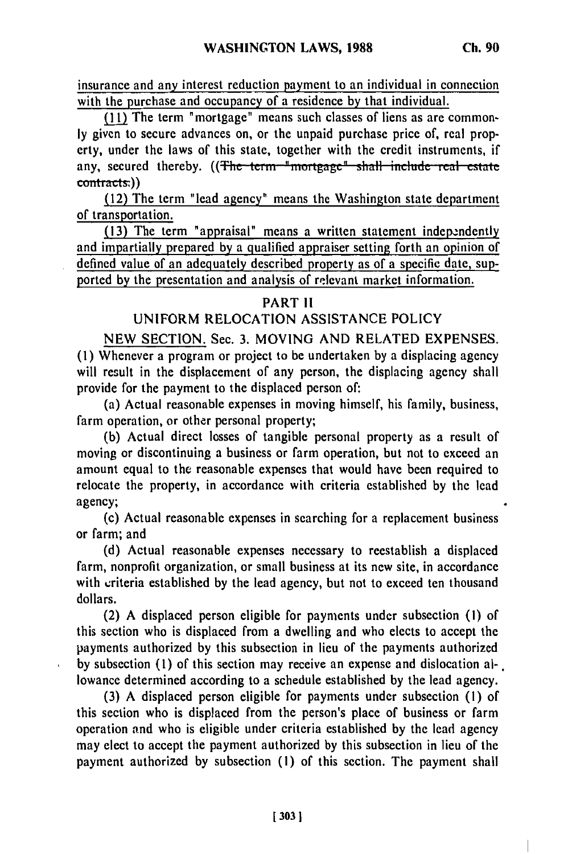insurance and any interest reduction payment to an individual in connection with the purchase and occupancy of a residence by that individual.

(11) The term "mortgage" means such classes of liens as are common**ly** given to secure advances on, or the unpaid purchase price of, real property, under the laws of this state, together with the credit instruments, if any, secured thereby. ((The term "mortgage" shall include real estate contracts:))

(12) The term "lead agency" means the Washington state department of transportation.

**(13)** The term "appraisal" means a written statement independently and impartially prepared **by** a qualified appraiser setting forth an opinion of defined value of an adequately described property as of a specific date, supported **by** the presentation and analysis of relevant market information.

#### PART II

## UNIFORM RELOCATION ASSISTANCE POLICY

NEW SECTION. Sec. 3. MOVING AND RELATED EXPENSES. (1) Whenever a program or project to be undertaken by a displacing agency will result in the displacement of any person, the displacing agency shall provide for the payment to the displaced person of:

(a) Actual reasonable expenses in moving himself, his family, business, farm operation, or other personal property;

(b) Actual direct losses of tangible personal property as a result of moving or discontinuing a business or farm operation, but not to exceed an amount equal to the reasonable expenses that would have been required to relocate the property, in accordance with criteria established by the lead agency;

(c) Actual reasonable expenses in searching for a replacement business or farm; and

(d) Actual reasonable expenses necessary to reestablish a displaced farm, nonprofit organization, or small business at its new site, in accordance with criteria established by the lead agency, but not to exceed ten thousand dollars.

(2) A displaced person eligible for payments under subsection (i) of this section who is displaced from a dwelling and who elects to accept the payments authorized by this subsection in lieu of the payments authorized by subsection (1) of this section may receive an expense and dislocation al-. lowance determined according to a schedule established by the lead agency.

(3) A displaced person eligible for payments under subsection **(1)** of this section who is displaced from the person's place of business or farm operation and who is eligible under criteria established by the lead agency may elect to accept the payment authorized by this subsection in lieu of the payment authorized by subsection **(1)** of this section. The payment shall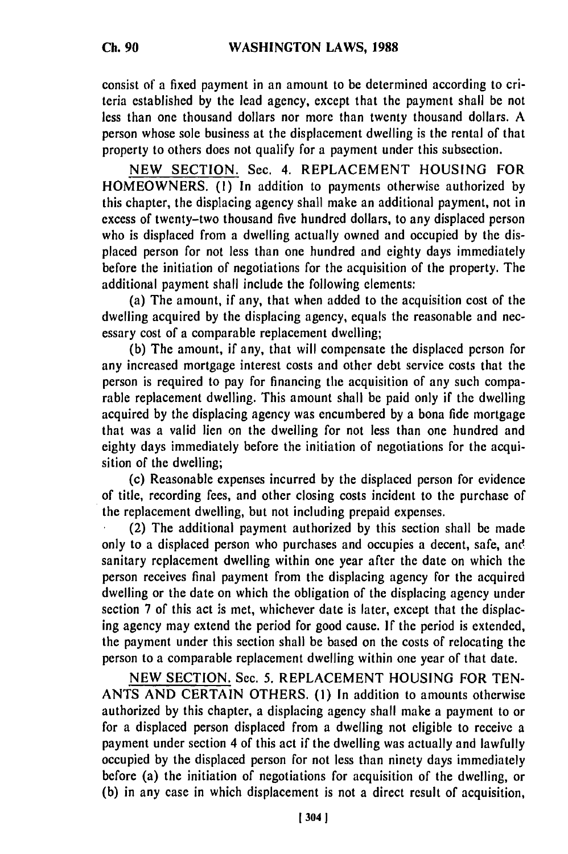consist **of** a fixed payment in an amount to be determined according to criteria established by the lead agency, except that the payment shall be not less than one thousand dollars nor more than twenty thousand dollars. A person whose sole business at the displacement dwelling is the rental of that property to others does not qualify for a payment under this subsection.

NEW SECTION. Sec. 4. REPLACEMENT HOUSING FOR HOMEOWNERS. **(1)** In addition to payments otherwise authorized by this chapter, the displacing agency shall make an additional payment, not in excess of twenty-two thousand five hundred dollars, to any displaced person who is displaced from a dwelling actually owned and occupied by the displaced person for not less than one hundred and eighty days immediately before the initiation of negotiations for the acquisition of the property. The additional payment shall include the following elements:

(a) The amount, if any, that when added to the acquisition cost of the dwelling acquired by the displacing agency, equals the reasonable and necessary cost of a comparable replacement dwelling;

(b) The amount, if any, that will compensate the displaced person for any increased mortgage interest costs and other debt service costs that the person is required to pay for financing the acquisition of any such comparable replacement dwelling. This amount shall be paid only if the dwelling acquired by the displacing agency was encumbered by a bona fide mortgage that was a valid lien on the dwelling for not less than one hundred and eighty days immediately before the initiation of negotiations for the acquisition of the dwelling;

(c) Reasonable expenses incurred by the displaced person for evidence of title, recording fees, and other closing costs incident to the purchase of the replacement dwelling, but not including prepaid expenses.

(2) The additional payment authorized by this section shall be made only to a displaced person who purchases and occupies a decent, safe, and sanitary replacement dwelling within one year after the date on which the person receives final payment from the displacing agency for the acquired dwelling or the date on which the obligation of the displacing agency under section 7 of this act is met, whichever date is later, except that the displacing agency may extend the period for good cause. If the period is extended, the payment under this section shall be based on the costs of relocating the person to a comparable replacement dwelling within one year of that date.

NEW SECTION. Sec. 5. REPLACEMENT HOUSING FOR TEN-ANTS AND CERTAIN OTHERS. **(1)** In addition to amounts otherwise authorized by this chapter, a displacing agency shall make a payment to or for a displaced person displaced from a dwelling not eligible to receive a payment under section 4 of this act if the dwelling was actually and lawfully occupied by the displaced person for not less than ninety days immediately before (a) the initiation of negotiations for acquisition of the dwelling, or (b) in any case in which displacement is not a direct result of acquisition,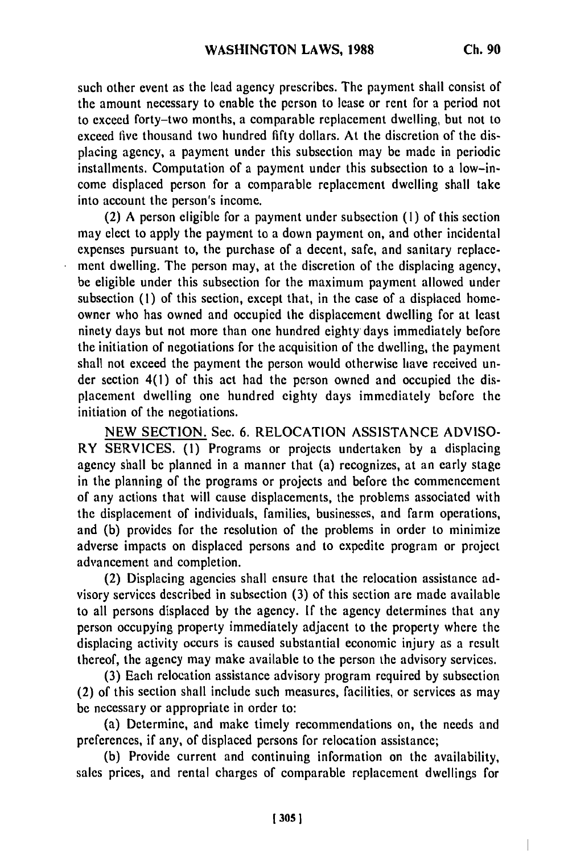such other event as the lead agency prescribes. The payment shall consist of the amount necessary to enable the person to lease or rent for a period not to exceed forty-two months, a comparable replacement dwelling, but not to exceed five thousand two hundred fifty dollars. At the discretion of the displacing agency, a payment under this subsection may be made in periodic installments. Computation of a payment under this subsection to a low-income displaced person for a comparable replacement dwelling shall take into account the person's income.

(2) A person eligible for a payment under subsection **(1)** of this section may elect to apply the payment to a down payment on, and other incidental expenses pursuant to, the purchase of a decent, safe, and sanitary replacement dwelling. The person may, at the discretion of the displacing agency, be eligible under this subsection for the maximum payment allowed under subsection (1) of this section, except that, in the case of a displaced homeowner who has owned and occupied the displacement dwelling for at least ninety days but not more than one hundred eighty days immediately before the initiation of negotiations for the acquisition of the dwelling, the payment shall not exceed the payment the person would otherwise have received under section 4(1) of this act had the person owned and occupied the displacement dwelling one hundred eighty days immediately before the initiation of the negotiations.

NEW SECTION. Sec. 6. RELOCATION ASSISTANCE ADVISO-RY SERVICES. **(1)** Programs or projects undertaken by a displacing agency shall be planned in a manner that (a) recognizes, at an early stage in the planning of the programs or projects and before the commencement of any actions that will cause displacements, the problems associated with the displacement of individuals, families, businesses, and farm operations, and (b) provides for the resolution of the problems in order to minimize adverse impacts on displaced persons and to expedite program or project advancement and completion.

(2) Displacing agencies shall ensure that the relocation assistance advisory services described in subsection (3) of this section are made available to all persons displaced by the agency. If the agency determines that any person occupying property immediately adjacent to the property where the displacing activity occurs is caused substantial economic injury as a result thereof, the agency may make available to the person the advisory services.

(3) Each relocation assistance advisory program required by subsection (2) of this section shall include such measures, facilities, or services as may be necessary or appropriate in order to:

(a) Determine, and make timely recommendations on, the needs and preferences, if any, of displaced persons for relocation assistance;

(b) Provide current and continuing information on the availability, sales prices, and rental charges of comparable replacement dwellings for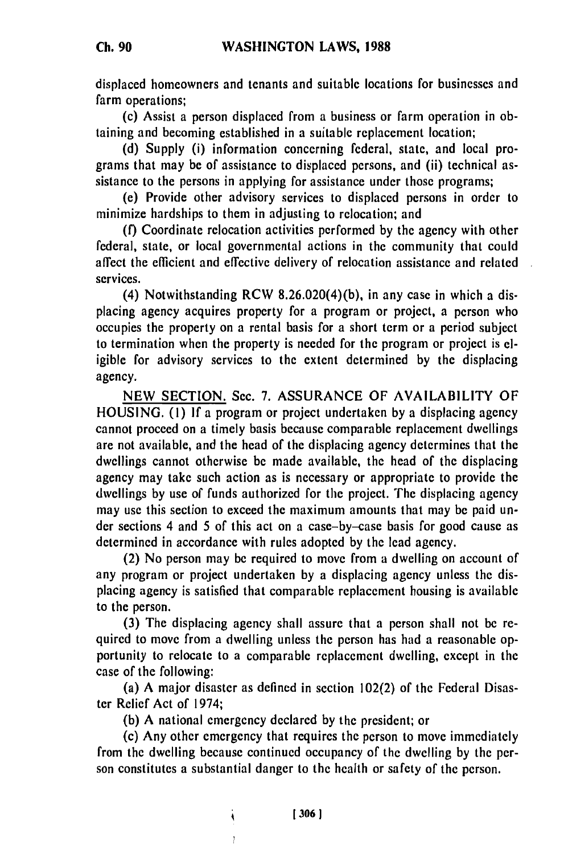displaced homeowners and tenants and suitable locations for businesses and farm operations;

(c) Assist a person displaced from a business or farm operation in obtaining and becoming established in a suitable replacement location;

(d) Supply (i) information concerning federal, state, and local programs that may be of assistance to displaced persons, and (ii) technical assistance to the persons in applying for assistance under those programs;

(e) Provide other advisory services to displaced persons in order to minimize hardships to them in adjusting to relocation; and

**(f)** Coordinate relocation activities performed by the agency with other federal, state, or local governmental actions in the community that could affect the efficient and effective delivery of relocation assistance and related services.

(4) Notwithstanding RCW 8.26.020(4)(b), in any case in which a displacing agency acquires property for a program or project, a person who occupies the property on a rental basis for a short term or a period subject to termination when the property is needed for the program or project is eligible for advisory services to the extent determined by the displacing agency.

NEW SECTION. Sec. 7. ASSURANCE OF AVAILABILITY OF HOUSING. (I) If a program or project undertaken by a displacing agency cannot proceed on a timely basis because comparable replacement dwellings are not available, and the head of the displacing agency determines that the dwellings cannot otherwise be made available, the head of the displacing agency may take such action as is necessary or appropriate to provide the dwellings by use of funds authorized for the project. The displacing agency may use this section to exceed the maximum amounts that may be paid under sections 4 and 5 of this act on a case-by-case basis for good cause as determined in accordance with rules adopted by the lead agency.

(2) No person may be required to move from a dwelling on account of any program or project undertaken by a displacing agency unless the displacing agency is satisfied that comparable replacement housing is available to the person.

(3) The displacing agency shall assure that a person shall not be required to move from a dwelling unless the person has had a reasonable opportunity to relocate to a comparable replacement dwelling, except in the case of the following:

(a) A major disaster as defined in section 102(2) of the Federal Disaster Relief Act of 1974;

(b) A national emergency declared by the president; or

 $\ddot{\phantom{0}}$ 

(c) Any other emergency that requires the person to move immediately from the dwelling because continued occupancy of the dwelling by the person constitutes a substantial danger to the health or safety of the person.

**[3061**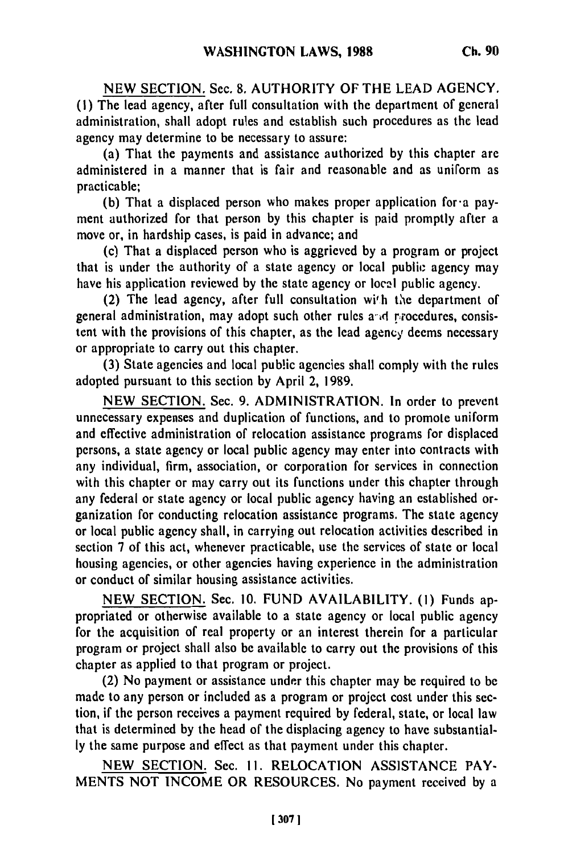**NEW** SECTION. Sec. **8.** AUTHORITY OF THE **LEAD AGENCY. (1)** The lead agency, after full consultation with the department of general administration, shall adopt rules and establish such procedures as the lead agency may determine to be necessary to assure:

(a) That the payments and assistance authorized by this chapter are administered in a manner that is fair and reasonable and as uniform as practicable;

(b) That a displaced person who makes proper application for'a payment authorized for that person by this chapter is paid promptly after a move or, in hardship cases, is paid in advance; and

(c) That a displaced person who is aggrieved by a program or project that is under the authority of a state agency or local public agency may have his application reviewed by the state agency or local public agency.

(2) The lead agency, after full consultation with the department of general administration, may adopt such other rules and rrocedures, consistent with the provisions of this chapter, as the lead agency deems necessary or appropriate to carry out this chapter.

(3) State agencies and local public agencies shall comply with the rules adopted pursuant to this section by April 2, 1989.

NEW SECTION. Sec. 9. ADMINISTRATION. In order to prevent unnecessary expenses and duplication of functions, and to promote uniform and effective administration of relocation assistance programs for displaced persons, a state agency or local public agency may enter into contracts with any individual, firm, association, or corporation for services in connection with this chapter or may carry out its functions under this chapter through any federal or state agency or local public agency having an established organization for conducting relocation assistance programs. The state agency or local public agency shall, in carrying out relocation activities described in section 7 of this act, whenever practicable, use the services of state or local housing agencies, or other agencies having experience in the administration or conduct of similar housing assistance activities.

NEW SECTION. Sec. 10. FUND AVAILABILITY. **(1)** Funds appropriated or otherwise available to a state agency or local public agency for the acquisition of real property or an interest therein for a particular program or project shall also be available to carry out the provisions of this chapter as applied to that program or project.

(2) No payment or assistance under this chapter may be required to be made to any person or included as a program or project cost under this section, if the person receives a payment required by federal, state, or local law that is determined by the head of the displacing agency to have substantially the same purpose and effect as that payment under this chapter.

NEW SECTION. Sec. **11.** RELOCATION ASSISTANCE PAY-MENTS NOT INCOME OR RESOURCES. No payment received by a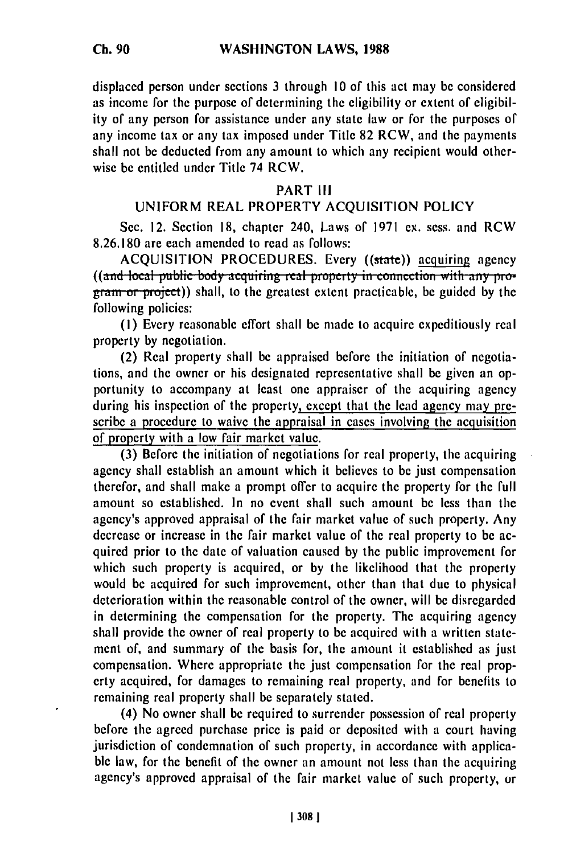displaced person under sections 3 through 10 of this act may be considered as income for the purpose of determining the eligibility or extent of eligibility of any person for assistance under any state law or for the purposes of any income tax or any tax imposed under Title 82 RCW, and the payments shall not be deducted from any amount to which any recipient would otherwise be entitled under Title 74 RCW.

## PART **III**

# UNIFORM REAL PROPERTY ACQUISITION POLICY

Sec. 12. Section 18, chapter 240, Laws of 1971 ex. sess. and RCW 8.26.180 are each amended to read as follows:

ACQUISITION PROCEDURES. Every ((state)) acquiring agency **((and local public body acquiring real property in connection with any pro**gram or project)) shall, to the greatest extent practicable, be guided by the following policies:

**(1)** Every reasonable effort shall be made to acquire expeditiously real property by negotiation.

(2) Real property shall be appraised before the initiation of negotiations, and the owner or his designated representative shall be given an opportunity to accompany at least one appraiser of the acquiring agency during his inspection of the property, except that the lead agency may prescribe a procedure to waive the appraisal in cases involving the acquisition of property with a low fair market value.

(3) Before the initiation of negotiations for real property, the acquiring agency shall establish an amount which it believes to be just compensation therefor, and shall make a prompt offer to acquire the property for the full amount so established. In no event shall such amount be less than the agency's approved appraisal of the fair market value of such property. Any decrease or increase in the fair market value of the real property to be acquired prior to the date of valuation caused by the public improvement for which such property is acquired, or by the likelihood that the property would be acquired for such improvement, other than that due to physical deterioration within the reasonable control of the owner, will be disregarded in determining the compensation for the property. The acquiring agency shall provide the owner of real property to be acquired with a written statement of, and summary of the basis for, the amount it established as just compensation. Where appropriate the just compensation for the real property acquired, for damages to remaining real property, and for benefits to remaining real property shall be separately stated.

(4) No owner shall be required to surrender possession of real property before the agreed purchase price is paid or deposited with a court having jurisdiction of condemnation of such property, in accordance with applicable law, for the benefit of the owner an amount not less than the acquiring agency's approved appraisal of the fair market value of such property, or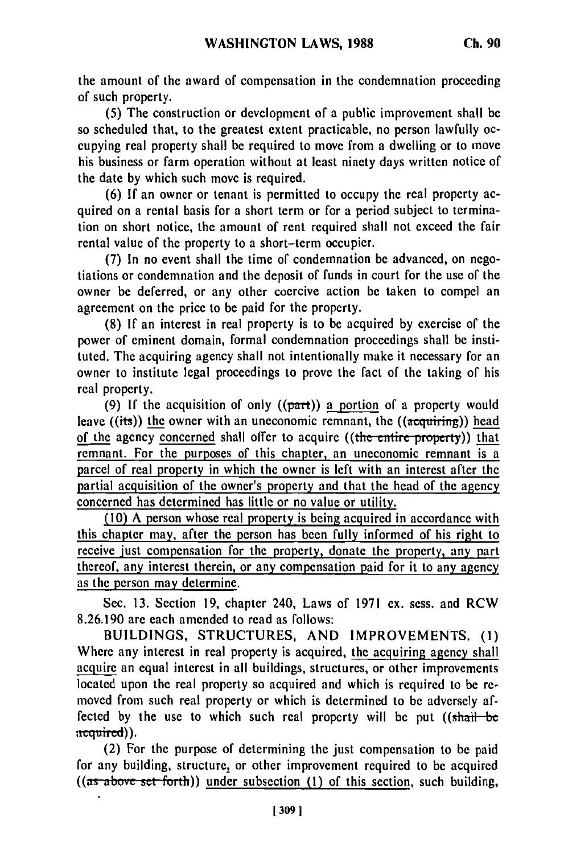the amount of the award of compensation in the condemnation proceeding of such property.

(5) The construction or development of a public improvement shall be so scheduled that, to the greatest extent practicable, no person lawfully occupying real property shall be required to move from a dwelling or to move his business or farm operation without at least ninety days written notice of the date by which such move is required.

(6) If an owner or tenant is permitted to occupy the real property acquired on a rental basis for a short term or for a period subject to termination on short notice, the amount of rent required shall not exceed the fair rental value of the property to a short-term occupier.

(7) In no event shall the time of condemnation be advanced, on negotiations or condemnation and the deposit of funds in court for the use of the owner be deferred, or any other coercive action be taken to compel an agreement on the price to be paid for the property.

(8) If an interest in real property is to be acquired by exercise of the power of eminent domain, formal condemnation proceedings shall be instituted. The acquiring agency shall not intentionally make it necessary for an owner to institute legal proceedings to prove the fact of the taking of his real property.

(9) If the acquisition of only  $((part))$  a portion of a property would leave  $((its))$  the owner with an uneconomic remnant, the  $((\overline{acquiring}))$  head of the agency concerned shall offer to acquire ((the entire property)) that remnant. For the purposes of this chapter, an uneconomic remnant is a parcel of real property in which the owner is left with an interest after the partial acquisition of the owner's property and that the head of the agency concerned has determined has little or no value or utility.

(10) A person whose real property is being acquired in accordance with this chapter may, after the person has been fully informed of his right to receive just compensation for the property, donate the property, any part thereof, any interest therein, or any compensation paid for it to any agency as the person may determine.

Sec. **13.** Section **19,** chapter 240, Laws of **1971** ex. sess. and RCW **8.26.190** are each amended to read as follows:

**BUILDINGS, STRUCTURES, AND** IMPROVEMENTS. **(i)** Where any interest in real property is acquired, the acquiring agency shall<br>acquire an equal interest in all buildings, structures, or other improvements acquire an equal interest in all buildings, structures, or other improvements located upon the real property so acquired and which is required to be removed from such real property or which is determined to **be** adversely affected **by** the use to which such real property will **be** put ((shall-be acquired)).

(2) For the purpose of determining the just compensation to be paid for any building, structure, or other improvement required to be acquired  $\frac{1}{2}$  ((as above set forth)) under subsection **(1)** of this section, such building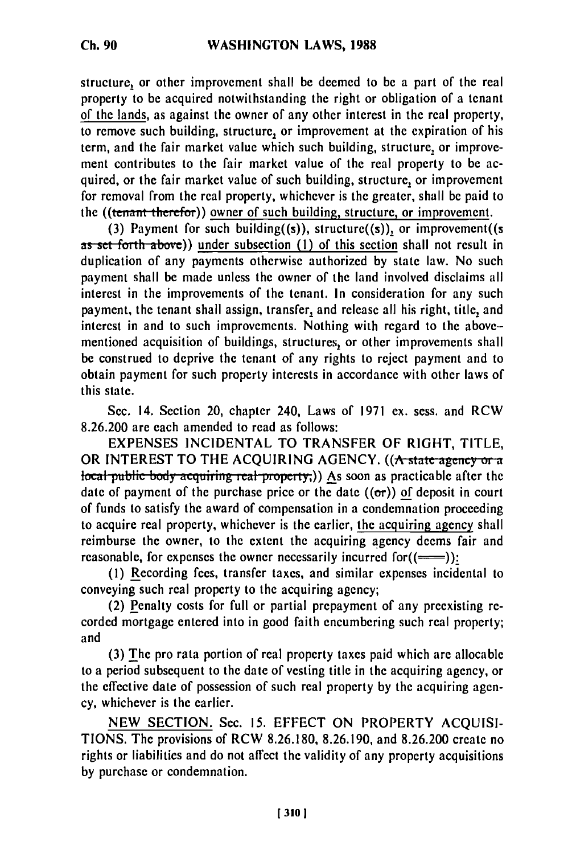structure, or other improvement shall be deemed to be a part of the real property to be acquired notwithstanding the right or obligation of a tenant of the lands, as against the owner of any other interest in the real property, to remove such building, structure, or improvement at the expiration of his term, and the fair market value which such building, structure, or improvement contributes to the fair market value of the real property to be acquired, or the fair market value of such building, structure, or improvement for removal from the real property, whichever is the greater, shall be paid to the ((tenant therefor)) owner of such building, structure, or improvement.

(3) Payment for such building((s)), structure( $(s)$ ), or improvement( $(s)$ as set forth above)) under subsection (1) of this section shall not result in duplication of any payments otherwise authorized by state law. No such payment shall be made unless the owner of the land involved disclaims all interest in the improvements of the tenant. In consideration for any such payment, the tenant shall assign, transfer, and release all his right, title, and interest in and to such improvements. Nothing with regard to the abovementioned acquisition of buildings, structures, or other improvements shall **be** construed to deprive the tenant of any rights to reject payment and to obtain payment for such property interests in accordance with other laws of this state.

Sec. 14. Section 20, chapter 240, Laws of 1971 ex. sess. and RCW 8.26.200 are each amended to read as follows:

EXPENSES INCIDENTAL TO TRANSFER OF RIGHT, TITLE, OR INTEREST TO THE ACQUIRING AGENCY. **((A state ageiiy o. a local public body acquiring real property,))** As soon as practicable after the date of payment of the purchase price or the date ((or)) **of** deposit in court of funds to satisfy the award of compensation in a condemnation proceeding to acquire real property, whichever is the earlier, **the** acquiring agency shall reimburse the owner, to the extent the acquiring agency deems fair and reasonable, for expenses the owner necessarily incurred for  $( \equiv )$ :

**(1)** Recording fees, transfer taxes, and similar expenses incidental to conveying such real property to the acquiring agency;

(2) Penalty costs for full or partial prepayment of any preexisting **re**corded mortgage entered into in good faith encumbering such real property; and

**(3) The** pro rata portion of real property taxes paid which are allocable to a period subsequent to the date of vesting title in the acquiring agency, or the effective date of possession of such real property **by** the acquiring agency, whichever is the earlier.

**NEW SECTION.** Sec. **15. EFFECT ON** PROPERTY **ACQUISI-TIONS.** The provisions of RCW **8.26.180, 8.26.190,** and **8.26.200** create no rights or liabilities and do not affect the validity of any property acquisitions **by** purchase or condemnation.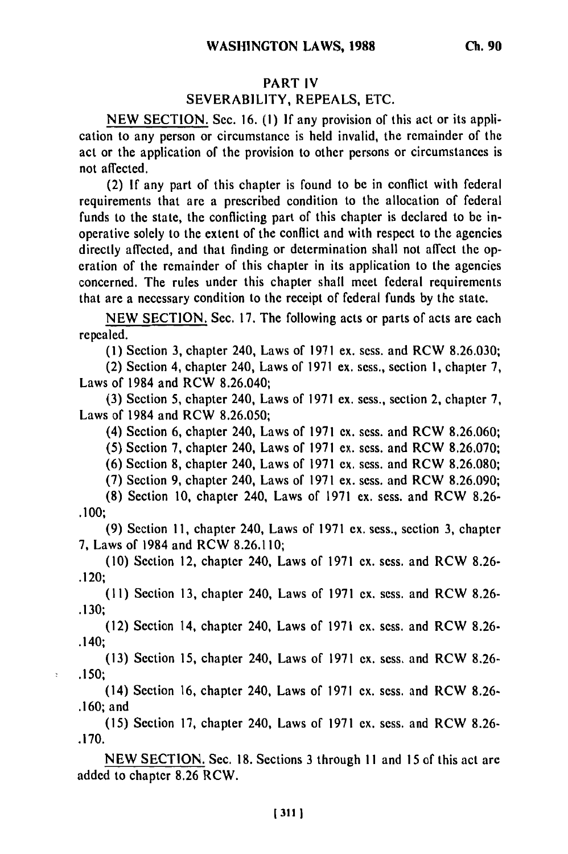### PART IV

# SEVERABILITY, REPEALS, ETC.

NEW SECTION. Sec. **16. (1)** If any provision of this act or its application to any person or circumstance is held invalid, the remainder of the act or the application of the provision to other persons or circumstances is not affected.

(2) If any part of this chapter is found to be in conflict with federal requirements that are a prescribed condition to the allocation of federal funds to the state, the conflicting part of this chapter is declared to be inoperative solely to the extent of the conflict and with respect to the agencies directly affected, and that finding or determination shall not affect the operation of the remainder of this chapter in its application to the agencies concerned. The rules under this chapter shall meet federal requirements that are a necessary condition to the receipt of federal funds by the state.

NEW SECTION. Sec. 17. The following acts or parts of acts are each repealed.

(1) Section 3, chapter 240, Laws of 1971 ex. sess. and RCW 8.26.030;

(2) Section 4, chapter 240, Laws of 1971 ex. sess., section **1,** chapter 7, Laws of 1984 and RCW 8.26.040;

(3) Section 5, chapter 240, Laws of 1971 ex. sess., section 2, chapter 7, Laws of 1984 and RCW 8.26.050;

(4) Section 6, chapter 240, Laws of 1971 ex. sess. and RCW 8.26.060;

**(5)** Section 7, chapter 240, Laws of 1971 ex. sess. and RCW 8.26.070;

(6) Section 8, chapter 240, Laws of 1971 ex. sess. and RCW 8.26.080;

(7) Section 9, chapter 240, Laws of 1971 ex. sess. and RCW 8.26.090;

(8) Section 10, chapter 240, Laws of 1971 ex. sess. and RCW 8.26- .100;

**(9)** Section **11,** chapter 240, Laws of 1971 ex. sess., section 3, chapter 7, Laws of 1984 and RCW 8.26.110;

(10) Section 12, chapter 240, Laws of 1971 ex. sess. and RCW 8.26- **.120;**

(11) Section 13, chapter 240, Laws of 1971 ex. sess. and RCW 8.26- **.130;**

(12) Section 14, chapter 240, Laws of 1971 ex, sess. and RCW 8.26- .140;

(13) Section 15, chapter 240, Laws of 1971 ex. sess. and RCW 8.26- .150;

 $\overline{\overline{z}}$ 

(14) Section 16, chapter 240, Laws of 1971 ex. sess. and RCW 8.26- .160; and

(15) Section 17, chapter 240, Laws of 1971 ex. sess. and RCW 8.26- .170.

NEW SECTION. Sec. 18. Sections 3 through **I I** and 15 of this act are added to chapter 8.26 RCW.